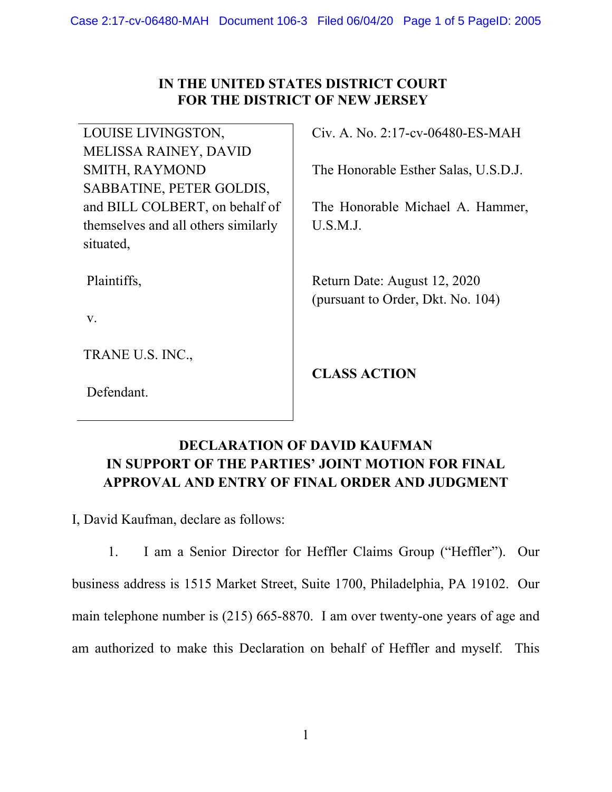## **IN THE UNITED STATES DISTRICT COURT FOR THE DISTRICT OF NEW JERSEY**

LOUISE LIVINGSTON, MELISSA RAINEY, DAVID SMITH, RAYMOND SABBATINE, PETER GOLDIS, and BILL COLBERT, on behalf of themselves and all others similarly situated,

Plaintiffs,

v.

TRANE U.S. INC.,

Defendant.

Civ. A. No. 2:17-cv-06480-ES-MAH

The Honorable Esther Salas, U.S.D.J.

The Honorable Michael A. Hammer, U.S.M.J.

Return Date: August 12, 2020 (pursuant to Order, Dkt. No. 104)

**CLASS ACTION** 

## **DECLARATION OF DAVID KAUFMAN IN SUPPORT OF THE PARTIES' JOINT MOTION FOR FINAL APPROVAL AND ENTRY OF FINAL ORDER AND JUDGMENT**

I, David Kaufman, declare as follows:

1. I am a Senior Director for Heffler Claims Group ("Heffler"). Our business address is 1515 Market Street, Suite 1700, Philadelphia, PA 19102. Our main telephone number is (215) 665-8870. I am over twenty-one years of age and am authorized to make this Declaration on behalf of Heffler and myself. This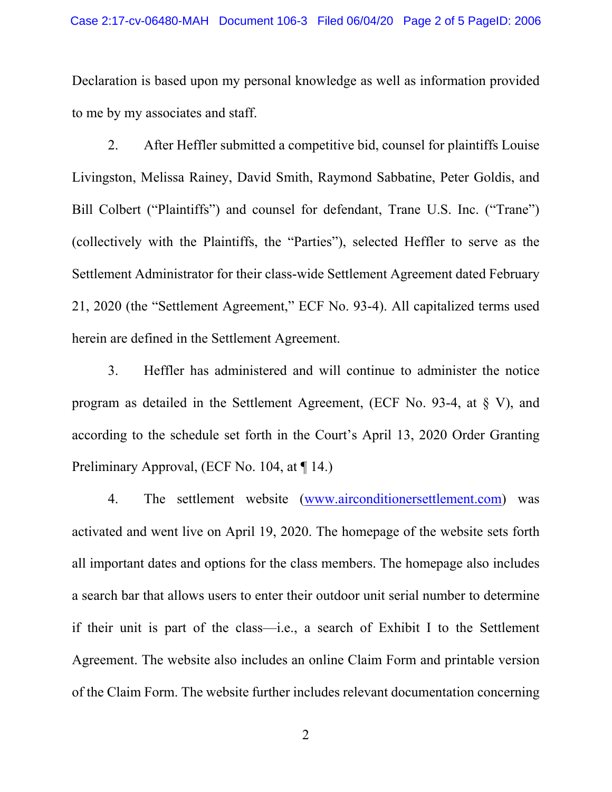Declaration is based upon my personal knowledge as well as information provided to me by my associates and staff.

2. After Heffler submitted a competitive bid, counsel for plaintiffs Louise Livingston, Melissa Rainey, David Smith, Raymond Sabbatine, Peter Goldis, and Bill Colbert ("Plaintiffs") and counsel for defendant, Trane U.S. Inc. ("Trane") (collectively with the Plaintiffs, the "Parties"), selected Heffler to serve as the Settlement Administrator for their class-wide Settlement Agreement dated February 21, 2020 (the "Settlement Agreement," ECF No. 93-4). All capitalized terms used herein are defined in the Settlement Agreement.

3. Heffler has administered and will continue to administer the notice program as detailed in the Settlement Agreement, (ECF No. 93-4, at § V), and according to the schedule set forth in the Court's April 13, 2020 Order Granting Preliminary Approval, (ECF No. 104, at ¶ 14.)

4. The settlement website (www.airconditionersettlement.com) was activated and went live on April 19, 2020. The homepage of the website sets forth all important dates and options for the class members. The homepage also includes a search bar that allows users to enter their outdoor unit serial number to determine if their unit is part of the class—i.e., a search of Exhibit I to the Settlement Agreement. The website also includes an online Claim Form and printable version of the Claim Form. The website further includes relevant documentation concerning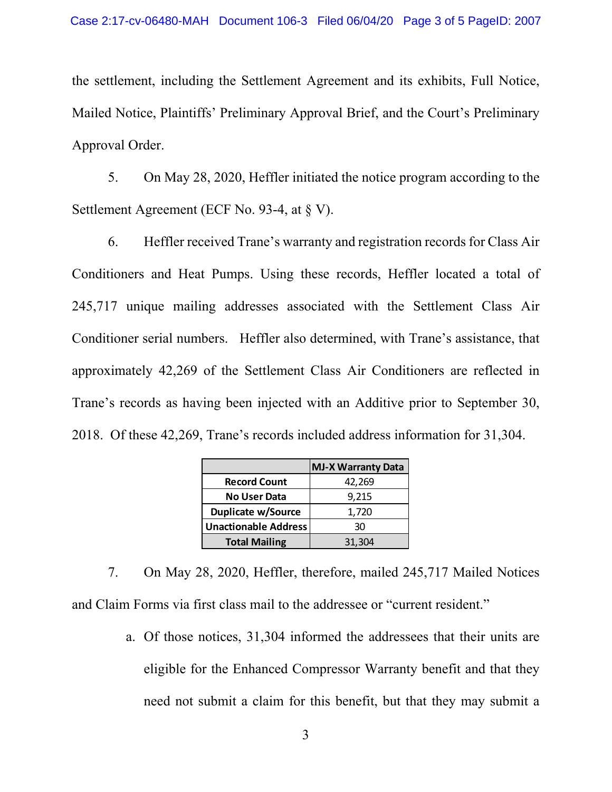the settlement, including the Settlement Agreement and its exhibits, Full Notice, Mailed Notice, Plaintiffs' Preliminary Approval Brief, and the Court's Preliminary Approval Order.

5. On May 28, 2020, Heffler initiated the notice program according to the Settlement Agreement (ECF No. 93-4, at  $\S V$ ).

6. Heffler received Trane's warranty and registration records for Class Air Conditioners and Heat Pumps. Using these records, Heffler located a total of 245,717 unique mailing addresses associated with the Settlement Class Air Conditioner serial numbers. Heffler also determined, with Trane's assistance, that approximately 42,269 of the Settlement Class Air Conditioners are reflected in Trane's records as having been injected with an Additive prior to September 30, 2018. Of these 42,269, Trane's records included address information for 31,304.

|                             | <b>MJ-X Warranty Data</b> |
|-----------------------------|---------------------------|
| <b>Record Count</b>         | 42,269                    |
| <b>No User Data</b>         | 9,215                     |
| <b>Duplicate w/Source</b>   | 1,720                     |
| <b>Unactionable Address</b> | 30                        |
| <b>Total Mailing</b>        | 31,304                    |

7. On May 28, 2020, Heffler, therefore, mailed 245,717 Mailed Notices and Claim Forms via first class mail to the addressee or "current resident."

> a. Of those notices, 31,304 informed the addressees that their units are eligible for the Enhanced Compressor Warranty benefit and that they need not submit a claim for this benefit, but that they may submit a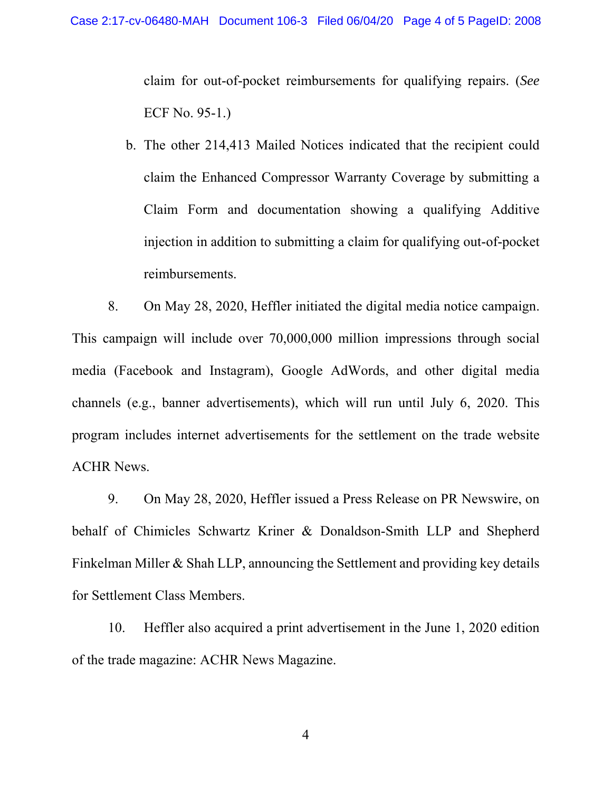claim for out-of-pocket reimbursements for qualifying repairs. (*See* ECF No. 95-1.)

b. The other 214,413 Mailed Notices indicated that the recipient could claim the Enhanced Compressor Warranty Coverage by submitting a Claim Form and documentation showing a qualifying Additive injection in addition to submitting a claim for qualifying out-of-pocket reimbursements.

8. On May 28, 2020, Heffler initiated the digital media notice campaign. This campaign will include over 70,000,000 million impressions through social media (Facebook and Instagram), Google AdWords, and other digital media channels (e.g., banner advertisements), which will run until July 6, 2020. This program includes internet advertisements for the settlement on the trade website ACHR News.

9. On May 28, 2020, Heffler issued a Press Release on PR Newswire, on behalf of Chimicles Schwartz Kriner & Donaldson-Smith LLP and Shepherd Finkelman Miller & Shah LLP, announcing the Settlement and providing key details for Settlement Class Members.

10. Heffler also acquired a print advertisement in the June 1, 2020 edition of the trade magazine: ACHR News Magazine.

4